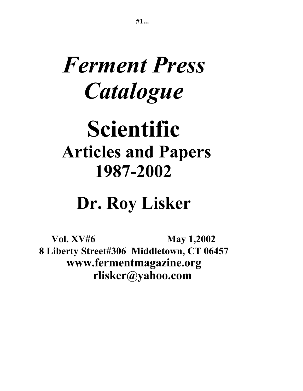# *Ferment Press Catalogue*

# **Scientific Articles and Papers 1987-2002**

# **Dr. Roy Lisker**

**Vol. XV#6** May 1,2002 **8 Liberty Street#306 Middletown, CT 06457 www.fermentmagazine.org rlisker@yahoo.com**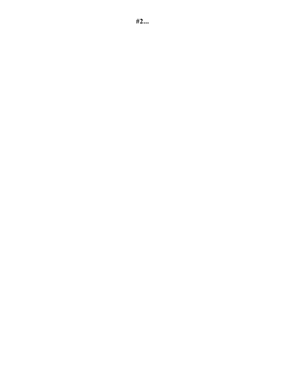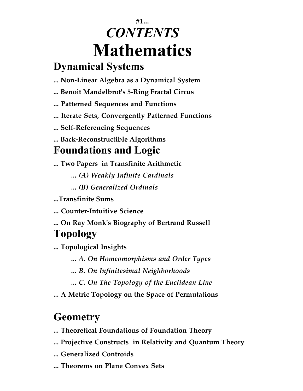# **#1...** *CONTENTS* **Mathematics**

#### **Dynamical Systems**

- **... Non-Linear Algebra as a Dynamical System**
- **... Benoit Mandelbrot's 5-Ring Fractal Circus**
- **... Patterned Sequences and Functions**
- **... Iterate Sets, Convergently Patterned Functions**
- **... Self-Referencing Sequences**
- **... Back-Reconstructible Algorithms**

# **Foundations and Logic**

- **... Two Papers in Transfinite Arithmetic**
	- *... (A) Weakly Infinite Cardinals*
	- *... (B) Generalized Ordinals*
- **...Transfinite Sums**
- **... Counter-Intuitive Science**
- **... On Ray Monk's Biography of Bertrand Russell Topology**

**... Topological Insights**

- *... A. On Homeomorphisms and Order Types*
- *... B. On Infinitesimal Neighborhoods*
- *... C. On The Topology of the Euclidean Line*
- **... A Metric Topology on the Space of Permutations**

# **Geometry**

- **... Theoretical Foundations of Foundation Theory**
- **... Projective Constructs in Relativity and Quantum Theory**
- **... Generalized Controids**
- **... Theorems on Plane Convex Sets**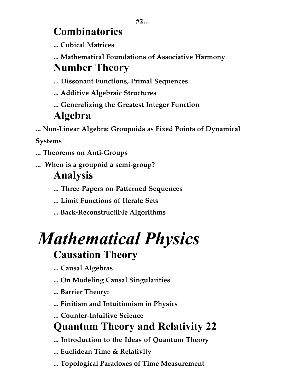### **Combinatorics**

**... Cubical Matrices**

**... Mathematical Foundations of Associative Harmony Number Theory** 

**... Dissonant Functions, Primal Sequences**

**... Additive Algebraic Structures**

**... Generalizing the Greatest Integer Function**

#### **Algebra**

**... Non-Linear Algebra: Groupoids as Fixed Points of Dynamical**

**Systems**

- **... Theorems on Anti-Groups**
- **... When is a groupoid a semi-group?**

#### **Analysis**

**... Three Papers on Patterned Sequences**

- **... Limit Functions of Iterate Sets**
- **... Back-Reconstructible Algorithms**

# *Mathematical Physics* **Causation Theory**

# **... Causal Algebras**

- **... On Modeling Causal Singularities**
- **... Barrier Theory:**
- **... Finitism and Intuitionism in Physics**
- **... Counter-Intuitive Science**

# **Quantum Theory and Relativity 22**

- **... Introduction to the Ideas of Quantum Theory**
- **... Euclidean Time & Relativity**
- **... Topological Paradoxes of Time Measurement**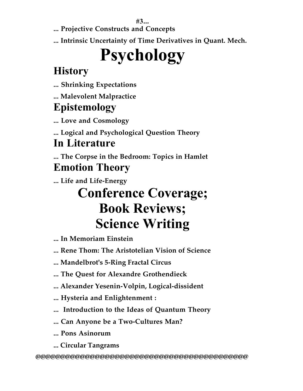**#3...**

**... Projective Constructs and Concepts**

**... Intrinsic Uncertainty of Time Derivatives in Quant. Mech.**

# **Psychology**

# **History**

**... Shrinking Expectations**

**... Malevolent Malpractice**

# **Epistemology**

**... Love and Cosmology**

**... Logical and Psychological Question Theory**

# **In Literature**

**... The Corpse in the Bedroom: Topics in Hamlet Emotion Theory**

**... Life and Life-Energy**

# **Conference Coverage; Book Reviews; Science Writing**

**... In Memoriam Einstein**

**... Rene Thom: The Aristotelian Vision of Science**

**... Mandelbrot's 5-Ring Fractal Circus**

**... The Quest for Alexandre Grothendieck**

- **... Alexander Yesenin-Volpin, Logical-dissident**
- **... Hysteria and Enlightenment :**
- **... Introduction to the Ideas of Quantum Theory**
- **... Can Anyone be a Two-Cultures Man?**
- **... Pons Asinorum**
- **... Circular Tangrams**

**@@@@@@@@@@@@@@@@@@@@@@@@@@@@@@@@@@@@@@@@@@@**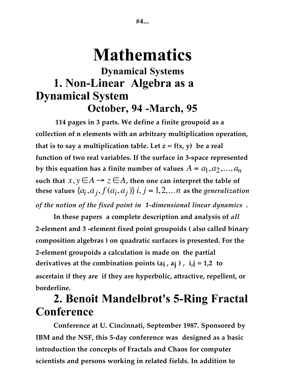# **Mathematics**

#### **Dynamical Systems 1. Non-Linear Algebra as a Dynamical System October, 94 -March, 95**

**114 pages in 3 parts. We define a finite groupoid as a collection of n elements with an arbitrary multiplication operation,** that is to say a multiplication table. Let  $z = f(x, y)$  be a real **function of two real variables. If the surface in 3-space represented by this equation has a finite number of values**  $A = a_1, a_2, ..., a_n$ such that  $x, y \in A \rightarrow z \in A$ , then one can interpret the table of **these values**  $\{a_i, a_j, f(a_i, a_j)\}\$ *i*,  $j = 1, 2, \ldots n$  as the *generalization of the notion of the fixed point in 1-dimensional linear dynamics* **.**

**In these papers a complete description and analysis of** *all* **2-element and 3 -element fixed point groupoids ( also called binary composition algebras ) on quadratic surfaces is presented. For the 2-element groupoids a calculation is made on the partial derivatives at the combination points (ai , aj ) , i,j = 1,2 to ascertain if they are if they are hyperbolic, attractive, repellent, or borderline.**

## **2. Benoit Mandelbrot's 5-Ring Fractal Conference**

**Conference at U. Cincinnati, September 1987. Sponsored by IBM and the NSF, this 5-day conference was designed as a basic introduction the concepts of Fractals and Chaos for computer scientists and persons working in related fields. In addition to**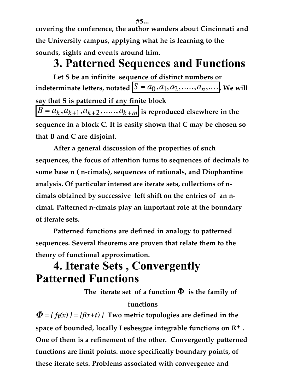**covering the conference, the author wanders about Cincinnati and the University campus, applying what he is learning to the sounds, sights and events around him.**

#### **3. Patterned Sequences and Functions**

**Let S be an infinite sequence of distinct numbers or indeterminate letters, notated**  $S = a_0, a_1, a_2, \ldots, a_n, \ldots$ , We will **say that S is patterned if any finite block**  $B = a_k, a_{k+1}, a_{k+2}, \ldots, a_{k+m}$  is reproduced elsewhere in the **sequence in a block C. It is easily shown that C may be chosen so that B and C are disjoint.**

**After a general discussion of the properties of such sequences, the focus of attention turns to sequences of decimals to some base n ( n-cimals), sequences of rationals, and Diophantine analysis. Of particular interest are iterate sets, collections of ncimals obtained by successive left shift on the entries of an ncimal. Patterned n-cimals play an important role at the boundary of iterate sets.**

**Patterned functions are defined in analogy to patterned sequences. Several theorems are proven that relate them to the theory of functional approximation.**

## **4. Iterate Sets , Convergently Patterned Functions**

The iterate set of a function  $\Phi$  is the family of

#### **functions**

 $\Phi = \{ f(x) \} = \{ f(x+t) \}$  Two metric topologies are defined in the **space of bounded, locally Lesbesgue integrable functions on R+ . One of them is a refinement of the other. Convergently patterned functions are limit points. more specifically boundary points, of these iterate sets. Problems associated with convergence and**

**#5...**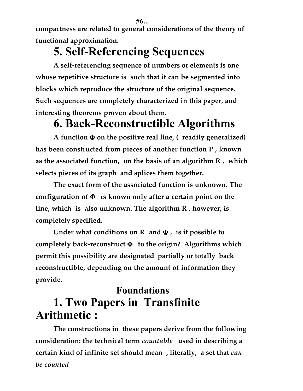**#6...**

**compactness are related to general considerations of the theory of functional approximation.**

# **5. Self-Referencing Sequences**

**A self-referencing sequence of numbers or elements is one whose repetitive structure is such that it can be segmented into blocks which reproduce the structure of the original sequence. Such sequences are completely characterized in this paper, and interesting theorems proven about them.**

# **6. Back-Reconstructible Algorithms**

**A function** Φ **on the positive real line, ( readily generalized) has been constructed from pieces of another function P , known as the associated function, on the basis of an algorithm R , which selects pieces of its graph and splices them together.**

**The exact form of the associated function is unknown. The configuration of** Φ ι**s known only after a certain point on the line, which is also unknown. The algorithm R , however, is completely specified.**

**Under what conditions on R and** Φ **, is it possible to completely back-reconstruct** Φ **to the origin? Algorithms which permit this possibility are designated partially or totally back reconstructible, depending on the amount of information they provide.**

#### **Foundations 1. Two Papers in Transfinite Arithmetic :**

**The constructions in these papers derive from the following consideration: the technical term** *countable* **used in describing a certain kind of infinite set should mean , literally, a set that** *can be counted*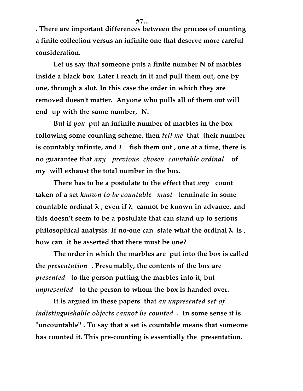**#7...**

**. There are important differences between the process of counting a finite collection versus an infinite one that deserve more careful consideration.**

**Let us say that someone puts a finite number N of marbles inside a black box. Later I reach in it and pull them out, one by one, through a slot. In this case the order in which they are removed doesn't matter. Anyone who pulls all of them out will end up with the same number, N.**

**But if** *you* **put an infinite number of marbles in the box following some counting scheme, then** *tell me* **that their number is countably infinite, and** *I* **fish them out , one at a time, there is no guarantee that** *any previous chosen countable ordinal* **of my will exhaust the total number in the box.**

**There has to be a postulate to the effect that** *any* **count taken of a set** *known to be countable must* **terminate in some countable ordinal** λ **, even if** λ **cannot be known in advance, and this doesn't seem to be a postulate that can stand up to serious philosophical analysis: If no-one can state what the ordinal** λ **is , how can it be asserted that there must be one?**

**The order in which the marbles are put into the box is called the** *presentation* **. Presumably, the contents of the box are** *presented* **to the person putting the marbles into it, but** *unpresented* **to the person to whom the box is handed over.**

**It is argued in these papers that** *an unpresented set of indistinguishable objects cannot be counted* **. In some sense it is "uncountable" . To say that a set is countable means that someone has counted it. This pre-counting is essentially the presentation.**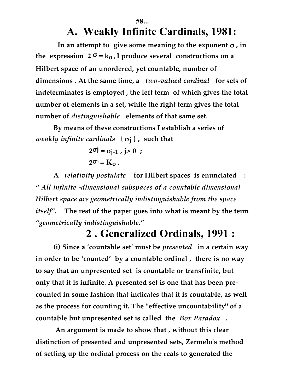# **A. Weakly Infinite Cardinals, 1981:**

 **In an attempt to give some meaning to the exponent** σ **, in** the expression  $2^\sigma = k_0$ , I produce several constructions on a **Hilbert space of an unordered, yet countable, number of dimensions . At the same time, a** *two-valued cardinal* **for sets of indeterminates is employed , the left term of which gives the total number of elements in a set, while the right term gives the total number of** *distinguishable* **elements of that same set.**

**#8...**

**By means of these constructions I establish a series of** *weakly infinite cardinals* **{** σ**j } , such that**

> $2^{oj} = \sigma_{i-1}$ ,  $j > 0$ ;  $2^{\sigma_0} = K_0$ .

**A** *relativity postulate* **for Hilbert spaces is enunciated :** *" All infinite -dimensional subspaces of a countable dimensional Hilbert space are geometrically indistinguishable from the space itself".* **The rest of the paper goes into what is meant by the term** *"geometrically indistinguishable."*

#### **2 . Generalized Ordinals, 1991 :**

**(i) Since a 'countable set' must be** *presented* **in a certain way in order to be 'counted' by a countable ordinal , there is no way to say that an unpresented set is countable or transfinite, but only that it is infinite. A presented set is one that has been precounted in some fashion that indicates that it is countable, as well as the process for counting it. The "effective uncountability" of a countable but unpresented set is called the** *Box Paradox* **.**

**An argument is made to show that , without this clear distinction of presented and unpresented sets, Zermelo's method of setting up the ordinal process on the reals to generated the**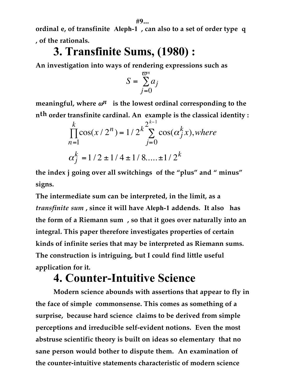**ordinal e, of transfinite Aleph-1 , can also to a set of order type q , of the rationals.**

## **3. Transfinite Sums, (1980) :**

**An investigation into ways of rendering expressions such as**

$$
S = \sum_{j=0}^{\varpi^n} a_j
$$

**meaningful, where**  $\omega^n$  **is the lowest ordinal corresponding to the nth order transfinite cardinal. An example is the classical identity :**

$$
\prod_{n=1}^{k} \cos(x/2^{n}) = 1/2^{k} \sum_{j=0}^{2^{k-1}} \cos(\alpha_{j}^{k} x), where
$$
  

$$
\alpha_{j}^{k} = 1/2 \pm 1/4 \pm 1/8.... \pm 1/2^{k}
$$

**the index j going over all switchings of the "plus" and " minus" signs.**

**The intermediate sum can be interpreted, in the limit, as a** *transfinite sum* **, since it will have Aleph-1 addends. It also has the form of a Riemann sum , so that it goes over naturally into an integral. This paper therefore investigates properties of certain kinds of infinite series that may be interpreted as Riemann sums. The construction is intriguing, but I could find little useful application for it.**

# **4. Counter-Intuitive Science**

**Modern science abounds with assertions that appear to fly in the face of simple commonsense. This comes as something of a surprise, because hard science claims to be derived from simple perceptions and irreducible self-evident notions. Even the most abstruse scientific theory is built on ideas so elementary that no sane person would bother to dispute them. An examination of the counter-intuitive statements characteristic of modern science**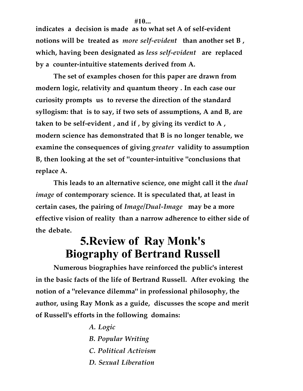**indicates a decision is made as to what set A of self-evident notions will be treated as** *more self-evident* **than another set B , which, having been designated as** *less self-evident* **are replaced by a counter-intuitive statements derived from A.**

**The set of examples chosen for this paper are drawn from modern logic, relativity and quantum theory . In each case our curiosity prompts us to reverse the direction of the standard syllogism: that is to say, if two sets of assumptions, A and B, are taken to be self-evident , and if , by giving its verdict to A , modern science has demonstrated that B is no longer tenable, we examine the consequences of giving** *greater* **validity to assumption B, then looking at the set of "counter-intuitive "conclusions that replace A.**

**This leads to an alternative science, one might call it the** *dual image* **of contemporary science. It is speculated that, at least in certain cases, the pairing of** *Image/Dual-Image* **may be a more effective vision of reality than a narrow adherence to either side of the debate.**

#### **5.Review of Ray Monk's Biography of Bertrand Russell**

**Numerous biographies have reinforced the public's interest in the basic facts of the life of Bertrand Russell. After evoking the notion of a "relevance dilemma" in professional philosophy, the author, using Ray Monk as a guide, discusses the scope and merit of Russell's efforts in the following domains:**

> *A. Logic B. Popular Writing C. Political Activism D. Sexual Liberation*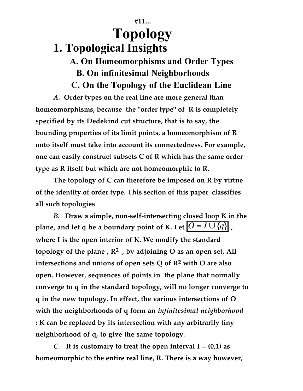#### **#11... Topology 1. Topological Insights**

#### **A. On Homeomorphisms and Order Types B. On infinitesimal Neighborhoods C. On the Topology of the Euclidean Line**

*A.* **Order types on the real line are more general than homeomorphisms, because the "order type" of R is completely specified by its Dedekind cut structure, that is to say, the bounding properties of its limit points, a homeomorphism of R onto itself must take into account its connectedness. For example, one can easily construct subsets C of R which has the same order type as R itself but which are not homeomorphic to R.**

**The topology of C can therefore be imposed on R by virtue of the identity of order type. This section of this paper classifies all such topologies**

*B.* **Draw a simple, non-self-intersecting closed loop K in the plane, and let q be a boundary point of K. Let**  $\overline{O} = I \cup \overline{\{q\}}$ **, where I is the open interior of K. We modify the standard topology of the plane , R2 , by adjoining O as an open set. All intersections and unions of open sets Q of R2 with O are also open. However, sequences of points in the plane that normally converge to q in the standard topology, will no longer converge to q in the new topology. In effect, the various intersections of O with the neighborhoods of q form an** *infinitesimal neighborhood* **: K can be replaced by its intersection with any arbitrarily tiny neighborhood of q, to give the same topology.**

*C.* It is customary to treat the open interval  $I = (0,1)$  as **homeomorphic to the entire real line, R. There is a way however,**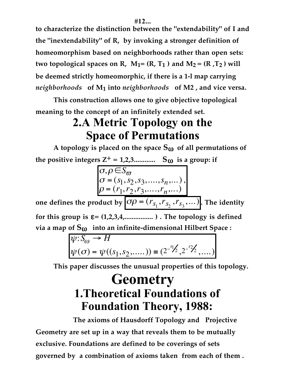**to characterize the distinction between the "extendability" of I and the "inextendability" of R, by invoking a stronger definition of homeomorphism based on neighborhoods rather than open sets:** two topological spaces on R,  $M_1 = (R, T_1)$  and  $M_2 = (R, T_2)$  will **be deemed strictly homeomorphic, if there is a 1-l map carrying** *neighborhoods* **of M1 into** *neighborhoods* **of M2 , and vice versa.**

**This construction allows one to give objective topological meaning to the concept of an infinitely extended set.**

# **2.A Metric Topology on the Space of Permutations**

A topology is placed on the space  $S_{(i)}$  of all permutations of **the positive integers Z<sup>+</sup> = 1,2,3...............**  $S_{(0)}$  is a group: if

$$
\sigma, \rho \in S_{\overline{\omega}}\n\sigma = (s_1, s_2, s_3, \dots, s_n, \dots),\n\rho = (r_1, r_2, r_3, \dots, r_n, \dots)
$$

one defines the product by  $\sigma \rho = (r_{s_1}, r_{s_2}, r_{s_3}, ...)$ . The identity **for this group is** ε**= (1,2,3,4,................ ) . The topology is defined**

via a map of 
$$
S_{00}
$$
 into an infinite-dimensional Hilbert Space:

$$
\psi: S_{\omega} \to H
$$
  
 
$$
\psi(\sigma) = \psi((s_1, s_2, ....)) \equiv (2^{-s_1/2}, 2^{-s_2/2}, ....)
$$

**This paper discusses the unusual properties of this topology.**

# **Geometry 1.Theoretical Foundations of Foundation Theory, 1988:**

**The axioms of Hausdorff Topology and Projective Geometry are set up in a way that reveals them to be mutually exclusive. Foundations are defined to be coverings of sets governed by a combination of axioms taken from each of them .**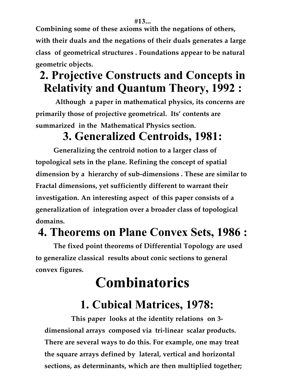**#13...**

**Combining some of these axioms with the negations of others, with their duals and the negations of their duals generates a large class of geometrical structures . Foundations appear to be natural geometric objects.** 

# **2. Projective Constructs and Concepts in Relativity and Quantum Theory, 1992 :**

**Although a paper in mathematical physics, its concerns are primarily those of projective geometrical. Its' contents are summarized in the Mathematical Physics section.**

# **3. Generalized Centroids, 1981:**

**Generalizing the centroid notion to a larger class of topological sets in the plane. Refining the concept of spatial dimension by a hierarchy of sub-dimensions . These are similar to Fractal dimensions, yet sufficiently different to warrant their investigation. An interesting aspect of this paper consists of a generalization of integration over a broader class of topological domains.**

## **4. Theorems on Plane Convex Sets, 1986 :**

**The fixed point theorems of Differential Topology are used to generalize classical results about conic sections to general convex figures.**

# **Combinatorics**

# **1. Cubical Matrices, 1978:**

**This paper looks at the identity relations on 3 dimensional arrays composed via tri-linear scalar products. There are several ways to do this. For example, one may treat the square arrays defined by lateral, vertical and horizontal sections, as determinants, which are then multiplied together;**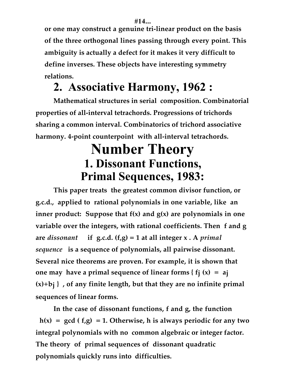**or one may construct a genuine tri-linear product on the basis of the three orthogonal lines passing through every point. This ambiguity is actually a defect for it makes it very difficult to define inverses. These objects have interesting symmetry relations.**

# **2. Associative Harmony, 1962 :**

**Mathematical structures in serial composition. Combinatorial properties of all-interval tetrachords. Progressions of trichords sharing a common interval. Combinatorics of trichord associative harmony. 4-point counterpoint with all-interval tetrachords.**

# **Number Theory 1. Dissonant Functions, Primal Sequences, 1983:**

**This paper treats the greatest common divisor function, or g.c.d., applied to rational polynomials in one variable, like an inner product: Suppose that f(x) and g(x) are polynomials in one variable over the integers, with rational coefficients. Then f and g are** *dissonant* **if g.c.d. (f,g) = 1 at all integer x . A** *primal sequence* **is a sequence of polynomials, all pairwise dissonant. Several nice theorems are proven. For example, it is shown that one may have a primal sequence of linear forms { fj (x) = aj (x)+bj } , of any finite length, but that they are no infinite primal sequences of linear forms.**

**In the case of dissonant functions, f and g, the function h(x) = gcd ( f,g) = 1. Otherwise, h is always periodic for any two integral polynomials with no common algebraic or integer factor. The theory of primal sequences of dissonant quadratic polynomials quickly runs into difficulties.**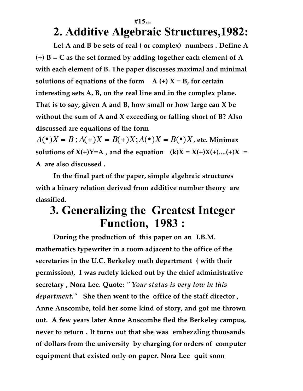#### **#15...**

#### **2. Additive Algebraic Structures,1982:**

**Let A and B be sets of real ( or complex) numbers . Define A (+) B = C as the set formed by adding together each element of A with each element of B. The paper discusses maximal and minimal solutions of equations of the form**  $A (+) X = B$ , for certain **interesting sets A, B, on the real line and in the complex plane. That is to say, given A and B, how small or how large can X be without the sum of A and X exceeding or falling short of B? Also discussed are equations of the form**

 $A(\bullet)X = B$ ;  $A(\bullet)X = B(\bullet)X$ ;  $A(\bullet)X = B(\bullet)X$ , etc. Minimax **solutions of**  $X(+)Y=A$ **, and the equation**  $(k)X = X(+)X(+)....(+)X =$ **A are also discussed .**

**In the final part of the paper, simple algebraic structures with a binary relation derived from additive number theory are classified.**

#### **3. Generalizing the Greatest Integer Function, 1983 :**

**During the production of this paper on an I.B.M. mathematics typewriter in a room adjacent to the office of the secretaries in the U.C. Berkeley math department ( with their permission), I was rudely kicked out by the chief administrative secretary , Nora Lee. Quote:** *" Your status is very low in this department."* **She then went to the office of the staff director , Anne Anscombe, told her some kind of story, and got me thrown out. A few years later Anne Anscombe fled the Berkeley campus, never to return . It turns out that she was embezzling thousands of dollars from the university by charging for orders of computer equipment that existed only on paper. Nora Lee quit soon**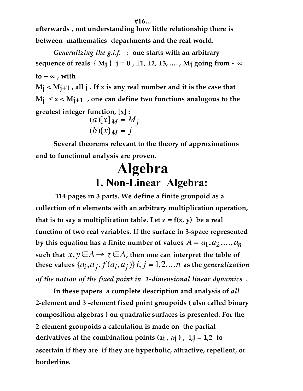**afterwards , not understanding how little relationship there is between mathematics departments and the real world.**

*Generalizing the g.i.f.* **: one starts with an arbitrary sequence of reals** { M<sub>j</sub> }  $j = 0$ , ±1, ±2, ±3, ...., M<sub>j</sub> going from - ∞  $\mathbf{t} \mathbf{o} + \infty$ , with

**Mj < Mj+1 , all j . If x is any real number and it is the case that**  $M_1 \le x < M_{1+1}$ , one can define two functions analogous to the **greatest integer function, [x] :**

$$
(a)[x]_M = M_j
$$
  

$$
(b){x}_M = j
$$

**Several theorems relevant to the theory of approximations and to functional analysis are proven.**

# **Algebra 1. Non-Linear Algebra:**

**114 pages in 3 parts. We define a finite groupoid as a collection of n elements with an arbitrary multiplication operation,** that is to say a multiplication table. Let  $z = f(x, y)$  be a real **function of two real variables. If the surface in 3-space represented by this equation has a finite number of values**  $A = a_1, a_2, ..., a_n$ such that  $x, y \in A \rightarrow z \in A$ , then one can interpret the table of **these values**  $\{a_i, a_j, f(a_i, a_j)\}\$ *i*,  $j = 1, 2, \ldots n$  as the *generalization of the notion of the fixed point in 1-dimensional linear dynamics* **.**

**In these papers a complete description and analysis of** *all* **2-element and 3 -element fixed point groupoids ( also called binary composition algebras ) on quadratic surfaces is presented. For the 2-element groupoids a calculation is made on the partial derivatives at the combination points (ai , aj ) , i,j = 1,2 to ascertain if they are if they are hyperbolic, attractive, repellent, or borderline.**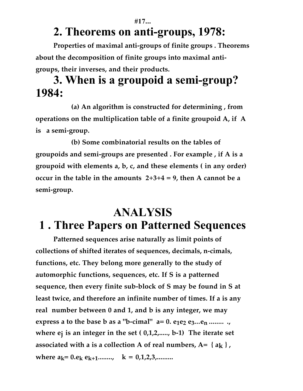# **2. Theorems on anti-groups, 1978:**

**#17...**

**Properties of maximal anti-groups of finite groups . Theorems about the decomposition of finite groups into maximal antigroups, their inverses, and their products.**

### **3. When is a groupoid a semi-group? 1984:**

**(a) An algorithm is constructed for determining , from operations on the multiplication table of a finite groupoid A, if A is a semi-group.**

**(b) Some combinatorial results on the tables of groupoids and semi-groups are presented . For example , if A is a groupoid with elements a, b, c, and these elements ( in any order) occur in the table in the amounts 2+3+4 = 9, then A cannot be a semi-group.**

## **ANALYSIS 1 . Three Papers on Patterned Sequences**

**Patterned sequences arise naturally as limit points of collections of shifted iterates of sequences, decimals, n-cimals, functions, etc. They belong more generally to the study of automorphic functions, sequences, etc. If S is a patterned sequence, then every finite sub-block of S may be found in S at least twice, and therefore an infinite number of times. If a is any real number between 0 and 1, and b is any integer, we may express a to the base b as a "b-cimal"**  $a=0$ **.**  $e_1e_2$  $e_3...e_n$  **........ where ej is an integer in the set ( 0,1,2,....., b-1) The iterate set** associated with a is a collection A of real numbers,  $A = \{a_k\}$ , where  $a_k = 0.e_k e_{k+1}$ ........,  $k = 0,1,2,3$ ,........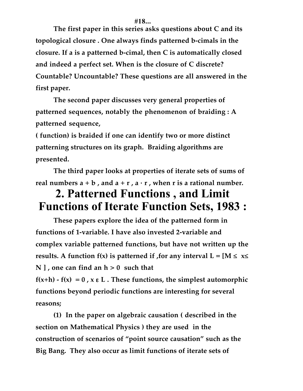**The first paper in this series asks questions about C and its topological closure . One always finds patterned b-cimals in the closure. If a is a patterned b-cimal, then C is automatically closed and indeed a perfect set. When is the closure of C discrete? Countable? Uncountable? These questions are all answered in the first paper.**

**The second paper discusses very general properties of patterned sequences, notably the phenomenon of braiding : A patterned sequence,**

**( function) is braided if one can identify two or more distinct patterning structures on its graph. Braiding algorithms are presented.**

**The third paper looks at properties of iterate sets of sums of** real numbers  $a + b$ , and  $a + r$ ,  $a \cdot r$ , when r is a rational number.

## **2. Patterned Functions , and Limit Functions of Iterate Function Sets, 1983 :**

**These papers explore the idea of the patterned form in functions of 1-variable. I have also invested 2-variable and complex variable patterned functions, but have not written up the results.** A function  $f(x)$  is patterned if , for any interval  $L = [M \le x \le$ **N ] , one can find an h > 0 such that**

**f(x+h) - f(x) = 0 , x** ε **L . These functions, the simplest automorphic functions beyond periodic functions are interesting for several reasons;**

**(1) In the paper on algebraic causation ( described in the section on Mathematical Physics ) they are used in the construction of scenarios of "point source causation" such as the Big Bang. They also occur as limit functions of iterate sets of**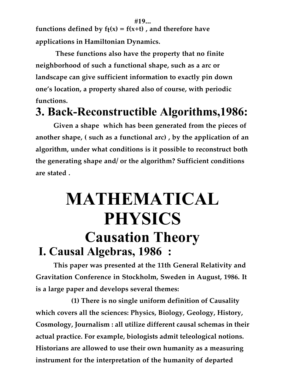**#19...** functions defined by  $f_t(x) = f(x+t)$ , and therefore have **applications in Hamiltonian Dynamics.**

**These functions also have the property that no finite neighborhood of such a functional shape, such as a arc or landscape can give sufficient information to exactly pin down one's location, a property shared also of course, with periodic functions.**

# **3. Back-Reconstructible Algorithms,1986:**

**Given a shape which has been generated from the pieces of another shape, ( such as a functional arc) , by the application of an algorithm, under what conditions is it possible to reconstruct both the generating shape and/ or the algorithm? Sufficient conditions are stated .**

# **MATHEMATICAL PHYSICS Causation Theory I. Causal Algebras, 1986 :**

**This paper was presented at the 11th General Relativity and Gravitation Conference in Stockholm, Sweden in August, 1986. It is a large paper and develops several themes:**

**(1) There is no single uniform definition of Causality which covers all the sciences: Physics, Biology, Geology, History, Cosmology, Journalism : all utilize different causal schemas in their actual practice. For example, biologists admit teleological notions. Historians are allowed to use their own humanity as a measuring instrument for the interpretation of the humanity of departed**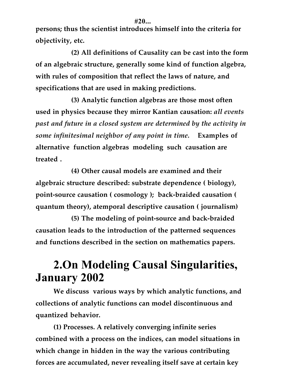**persons; thus the scientist introduces himself into the criteria for objectivity, etc.**

**(2) All definitions of Causality can be cast into the form of an algebraic structure, generally some kind of function algebra, with rules of composition that reflect the laws of nature, and specifications that are used in making predictions.**

**(3) Analytic function algebras are those most often used in physics because they mirror Kantian causation:** *all events past and future in a closed system are determined by the activity in some infinitesimal neighbor of any point in time.* **Examples of alternative function algebras modeling such causation are treated .**

**(4) Other causal models are examined and their algebraic structure described: substrate dependence ( biology), point-source causation ( cosmology ); back-braided causation ( quantum theory), atemporal descriptive causation ( journalism)**

**(5) The modeling of point-source and back-braided causation leads to the introduction of the patterned sequences and functions described in the section on mathematics papers.**

# **2.On Modeling Causal Singularities, January 2002**

**We discuss various ways by which analytic functions, and collections of analytic functions can model discontinuous and quantized behavior.**

**(1) Processes. A relatively converging infinite series combined with a process on the indices, can model situations in which change in hidden in the way the various contributing forces are accumulated, never revealing itself save at certain key**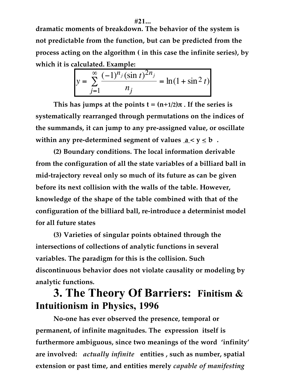#### **#21...**

**dramatic moments of breakdown. The behavior of the system is not predictable from the function, but can be predicted from the process acting on the algorithm ( in this case the infinite series), by which it is calculated. Example:**

$$
y = \sum_{j=1}^{\infty} \frac{(-1)^{n_j} (\sin t)^{2n_j}}{n_j} = \ln(1 + \sin^2 t)
$$

This has jumps at the points  $t = (n+1/2)\pi$ . If the series is **systematically rearranged through permutations on the indices of the summands, it can jump to any pre-assigned value, or oscillate** within any pre-determined segment of values  $a < y \le b$ .

**(2) Boundary conditions. The local information derivable from the configuration of all the state variables of a billiard ball in mid-trajectory reveal only so much of its future as can be given before its next collision with the walls of the table. However, knowledge of the shape of the table combined with that of the configuration of the billiard ball, re-introduce a determinist model for all future states**

**(3) Varieties of singular points obtained through the intersections of collections of analytic functions in several variables. The paradigm for this is the collision. Such discontinuous behavior does not violate causality or modeling by analytic functions.**

#### **3. The Theory Of Barriers: Finitism & Intuitionism in Physics, 1996**

**No-one has ever observed the presence, temporal or permanent, of infinite magnitudes. The expression itself is furthermore ambiguous, since two meanings of the word 'infinity' are involved:** *actually infinite* **entities , such as number, spatial extension or past time, and entities merely** *capable of manifesting*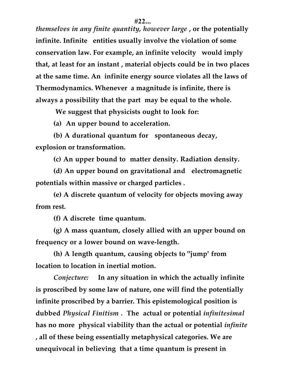*themselves in any finite quantity, however large* **, or the potentially infinite. Infinite entities usually involve the violation of some conservation law. For example, an infinite velocity would imply that, at least for an instant , material objects could be in two places at the same time. An infinite energy source violates all the laws of Thermodynamics. Whenever a magnitude is infinite, there is always a possibility that the part may be equal to the whole.**

**We suggest that physicists ought to look for:**

**(a) An upper bound to acceleration.**

**(b) A durational quantum for spontaneous decay, explosion or transformation.**

**(c) An upper bound to matter density. Radiation density.**

**(d) An upper bound on gravitational and electromagnetic potentials within massive or charged particles .**

**(e) A discrete quantum of velocity for objects moving away from rest.**

**(f) A discrete time quantum.**

**(g) A mass quantum, closely allied with an upper bound on frequency or a lower bound on wave-length.**

**(h) A length quantum, causing objects to "jump' from location to location in inertial motion.**

*Conjecture:* **In any situation in which the actually infinite is proscribed by some law of nature, one will find the potentially infinite proscribed by a barrier. This epistemological position is dubbed** *Physical Finitism .* **The actual or potential** *infinitesimal* **has no more physical viability than the actual or potential** *infinite* **, all of these being essentially metaphysical categories. We are unequivocal in believing that a time quantum is present in**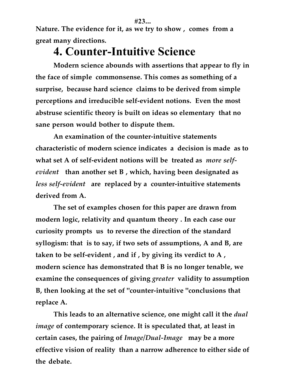**Nature. The evidence for it, as we try to show , comes from a great many directions.**

## **4. Counter-Intuitive Science**

**Modern science abounds with assertions that appear to fly in the face of simple commonsense. This comes as something of a surprise, because hard science claims to be derived from simple perceptions and irreducible self-evident notions. Even the most abstruse scientific theory is built on ideas so elementary that no sane person would bother to dispute them.**

**An examination of the counter-intuitive statements characteristic of modern science indicates a decision is made as to what set A of self-evident notions will be treated as** *more selfevident* **than another set B , which, having been designated as** *less self-evident* **are replaced by a counter-intuitive statements derived from A.**

**The set of examples chosen for this paper are drawn from modern logic, relativity and quantum theory . In each case our curiosity prompts us to reverse the direction of the standard syllogism: that is to say, if two sets of assumptions, A and B, are taken to be self-evident , and if , by giving its verdict to A , modern science has demonstrated that B is no longer tenable, we examine the consequences of giving** *greater* **validity to assumption B, then looking at the set of "counter-intuitive "conclusions that replace A.**

**This leads to an alternative science, one might call it the** *dual image* **of contemporary science. It is speculated that, at least in certain cases, the pairing of** *Image/Dual-Image* **may be a more effective vision of reality than a narrow adherence to either side of the debate.**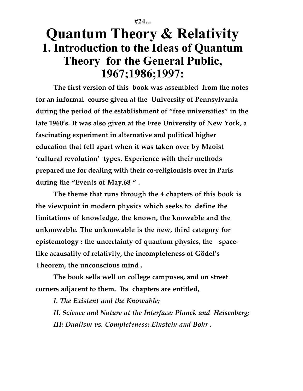**#24...**

# **Quantum Theory & Relativity 1. Introduction to the Ideas of Quantum Theory for the General Public, 1967;1986;1997:**

**The first version of this book was assembled from the notes for an informal course given at the University of Pennsylvania during the period of the establishment of "free universities" in the late 1960's. It was also given at the Free University of New York, a fascinating experiment in alternative and political higher education that fell apart when it was taken over by Maoist 'cultural revolution' types. Experience with their methods prepared me for dealing with their co-religionists over in Paris during the "Events of May,68 " .**

**The theme that runs through the 4 chapters of this book is the viewpoint in modern physics which seeks to define the limitations of knowledge, the known, the knowable and the unknowable. The unknowable is the new, third category for epistemology : the uncertainty of quantum physics, the spacelike acausality of relativity, the incompleteness of Gödel's Theorem, the unconscious mind .**

**The book sells well on college campuses, and on street corners adjacent to them. Its chapters are entitled,**

*I. The Existent and the Knowable;*

*II. Science and Nature at the Interface: Planck and Heisenberg; III: Dualism vs. Completeness: Einstein and Bohr .*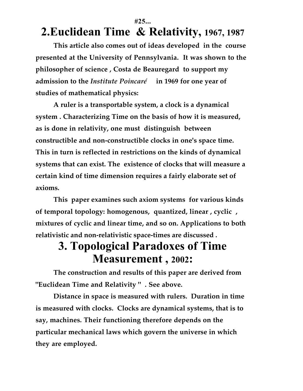#### **#25...**

# **2.Euclidean Time & Relativity, 1967, 1987**

**This article also comes out of ideas developed in the course presented at the University of Pennsylvania. It was shown to the philosopher of science , Costa de Beauregard to support my admission to the** *Institute Poincaré* **in 1969 for one year of studies of mathematical physics:**

**A ruler is a transportable system, a clock is a dynamical system . Characterizing Time on the basis of how it is measured, as is done in relativity, one must distinguish between constructible and non-constructible clocks in one's space time. This in turn is reflected in restrictions on the kinds of dynamical systems that can exist. The existence of clocks that will measure a certain kind of time dimension requires a fairly elaborate set of axioms.**

**This paper examines such axiom systems for various kinds of temporal topology: homogenous, quantized, linear , cyclic , mixtures of cyclic and linear time, and so on. Applications to both relativistic and non-relativistic space-times are discussed .**

### **3. Topological Paradoxes of Time Measurement , 2002:**

**The construction and results of this paper are derived from "Euclidean Time and Relativity " . See above.**

**Distance in space is measured with rulers. Duration in time is measured with clocks. Clocks are dynamical systems, that is to say, machines. Their functioning therefore depends on the particular mechanical laws which govern the universe in which they are employed.**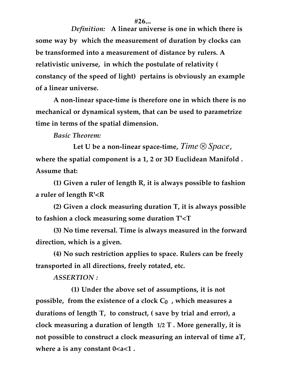#### **#26...**

*Definition:* **A linear universe is one in which there is some way by which the measurement of duration by clocks can be transformed into a measurement of distance by rulers. A relativistic universe, in which the postulate of relativity ( constancy of the speed of light) pertains is obviously an example of a linear universe.**

**A non-linear space-time is therefore one in which there is no mechanical or dynamical system, that can be used to parametrize time in terms of the spatial dimension.**

*Basic Theorem:*

**Let U be a non-linear space-time,** *Time* ⊗ *Space***, where the spatial component is a 1, 2 or 3D Euclidean Manifold . Assume that:**

**(1) Given a ruler of length R, it is always possible to fashion a ruler of length R'<R**

**(2) Given a clock measuring duration T, it is always possible to fashion a clock measuring some duration T'<T**

**(3) No time reversal. Time is always measured in the forward direction, which is a given.**

**(4) No such restriction applies to space. Rulers can be freely transported in all directions, freely rotated, etc.**

*ASSERTION :*

**(1) Under the above set of assumptions, it is not possible, from the existence of a clock**  $C_0$ **, which measures a durations of length T, to construct, ( save by trial and error), a clock measuring a duration of length 1/2 T . More generally, it is not possible to construct a clock measuring an interval of time aT,** where a is any constant  $0 < a < 1$ .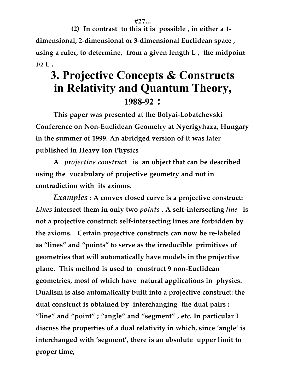**#27...**

**(2) In contrast to this it is possible , in either a 1 dimensional, 2-dimensional or 3-dimensional Euclidean space , using a ruler, to determine, from a given length L , the midpoint 1/2 L .**

## **3. Projective Concepts & Constructs in Relativity and Quantum Theory, 1988-92 :**

**This paper was presented at the Bolyai-Lobatchevski Conference on Non-Euclidean Geometry at Nyerigyhaza, Hungary in the summer of 1999. An abridged version of it was later published in Heavy Ion Physics**

**A** *projective construct* **is an object that can be described using the vocabulary of projective geometry and not in contradiction with its axioms.**

*Examples* **: A convex closed curve is a projective construct:** *Lines* **intersect them in only two** *points* **. A self-intersecting** *line* **is not a projective construct: self-intersecting lines are forbidden by the axioms. Certain projective constructs can now be re-labeled as "lines" and "points" to serve as the irreducible primitives of geometries that will automatically have models in the projective plane. This method is used to construct 9 non-Euclidean geometries, most of which have natural applications in physics. Dualism is also automatically built into a projective construct: the dual construct is obtained by interchanging the dual pairs : "line" and "point" ; "angle" and "segment" , etc. In particular I discuss the properties of a dual relativity in which, since 'angle' is interchanged with 'segment', there is an absolute upper limit to proper time,**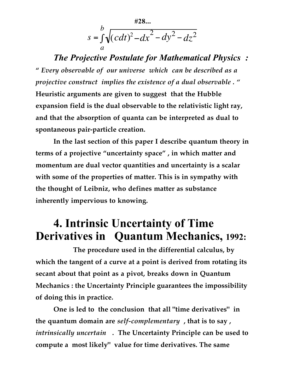$$
s = \int_{a}^{b} \sqrt{(c dt)^2 - dx^2 - dy^2 - dz^2}
$$

*The Projective Postulate for Mathematical Physics :* **"** *Every observable of our universe which can be described as a projective construct implies the existence of a dual observable . "* **Heuristic arguments are given to suggest that the Hubble expansion field is the dual observable to the relativistic light ray, and that the absorption of quanta can be interpreted as dual to spontaneous pair-particle creation.**

**In the last section of this paper I describe quantum theory in terms of a projective "uncertainty space" , in which matter and momentum are dual vector quantities and uncertainty is a scalar with some of the properties of matter. This is in sympathy with the thought of Leibniz, who defines matter as substance inherently impervious to knowing.**

### **4. Intrinsic Uncertainty of Time Derivatives in Quantum Mechanics, 1992:**

**The procedure used in the differential calculus, by which the tangent of a curve at a point is derived from rotating its secant about that point as a pivot, breaks down in Quantum Mechanics : the Uncertainty Principle guarantees the impossibility of doing this in practice.**

**One is led to the conclusion that all "time derivatives" in the quantum domain are** *self-complementary* **, that is to say ,** *intrinsically uncertain* **. The Uncertainty Principle can be used to compute a most likely" value for time derivatives. The same**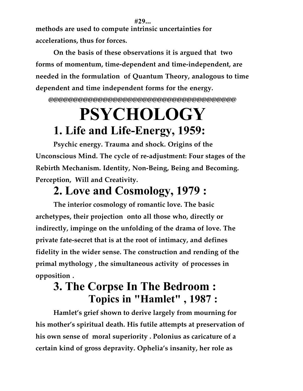**#29... methods are used to compute intrinsic uncertainties for accelerations, thus for forces.**

**On the basis of these observations it is argued that two forms of momentum, time-dependent and time-independent, are needed in the formulation of Quantum Theory, analogous to time dependent and time independent forms for the energy.**

**@@@@@@@@@@@@@@@@@@@@@@@@@@@@@@@@@@@@@@**

# **PSYCHOLOGY 1. Life and Life-Energy, 1959:**

**Psychic energy. Trauma and shock. Origins of the Unconscious Mind. The cycle of re-adjustment: Four stages of the Rebirth Mechanism. Identity, Non-Being, Being and Becoming. Perception, Will and Creativity.**

# **2. Love and Cosmology, 1979 :**

**The interior cosmology of romantic love. The basic archetypes, their projection onto all those who, directly or indirectly, impinge on the unfolding of the drama of love. The private fate-secret that is at the root of intimacy, and defines fidelity in the wider sense. The construction and rending of the primal mythology , the simultaneous activity of processes in opposition .**

# **3. The Corpse In The Bedroom : Topics in "Hamlet" , 1987 :**

**Hamlet's grief shown to derive largely from mourning for his mother's spiritual death. His futile attempts at preservation of his own sense of moral superiority . Polonius as caricature of a certain kind of gross depravity. Ophelia's insanity, her role as**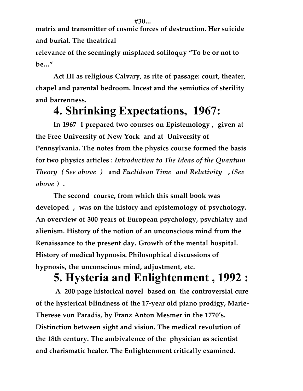**matrix and transmitter of cosmic forces of destruction. Her suicide and burial. The theatrical**

**relevance of the seemingly misplaced soliloquy "To be or not to be..."**

**Act III as religious Calvary, as rite of passage: court, theater, chapel and parental bedroom. Incest and the semiotics of sterility and barrenness.**

# **4. Shrinking Expectations, 1967:**

**In 1967 I prepared two courses on Epistemology , given at the Free University of New York and at University of Pennsylvania. The notes from the physics course formed the basis for two physics articles :** *Introduction to The Ideas of the Quantum Theory ( See above )* **and** *Euclidean Time and Relativity* **,** *(See above )* **.**

**The second course, from which this small book was developed , was on the history and epistemology of psychology. An overview of 300 years of European psychology, psychiatry and alienism. History of the notion of an unconscious mind from the Renaissance to the present day. Growth of the mental hospital. History of medical hypnosis. Philosophical discussions of hypnosis, the unconscious mind, adjustment, etc.**

# **5. Hysteria and Enlightenment , 1992 :**

**A 200 page historical novel based on the controversial cure of the hysterical blindness of the 17-year old piano prodigy, Marie-Therese von Paradis, by Franz Anton Mesmer in the 1770's. Distinction between sight and vision. The medical revolution of the 18th century. The ambivalence of the physician as scientist and charismatic healer. The Enlightenment critically examined.**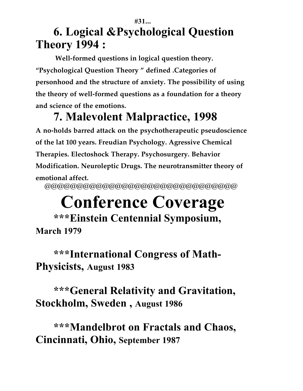#### **#31... 6. Logical &Psychological Question Theory 1994 :**

**Well-formed questions in logical question theory. "Psychological Question Theory " defined .Categories of personhood and the structure of anxiety. The possibility of using the theory of well-formed questions as a foundation for a theory and science of the emotions.**

# **7. Malevolent Malpractice, 1998**

**A no-holds barred attack on the psychotherapeutic pseudoscience of the lat 100 years. Freudian Psychology. Agressive Chemical Therapies. Electoshock Therapy. Psychosurgery. Behavior Modification. Neuroleptic Drugs. The neurotransmitter theory of emotional affect.** @@@@@@@@@@@@@@@@@@@@@@@@@@@@@@

# **Conference Coverage**

#### **\*\*\*Einstein Centennial Symposium, March 1979**

### **\*\*\*International Congress of Math-Physicists, August 1983**

**\*\*\*General Relativity and Gravitation, Stockholm, Sweden , August 1986**

**\*\*\*Mandelbrot on Fractals and Chaos, Cincinnati, Ohio, September 1987**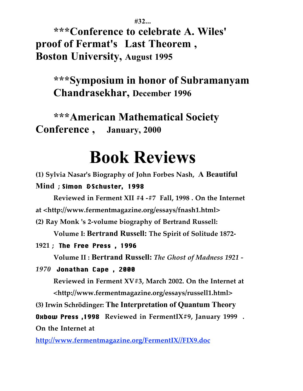**#32...**

**\*\*\*Conference to celebrate A. Wiles' proof of Fermat's Last Theorem , Boston University, August 1995**

**\*\*\*Symposium in honor of Subramanyam Chandrasekhar, December 1996**

**\*\*\*American Mathematical Society Conference , January, 2000**

# **Book Reviews**

**(1) Sylvia Nasar's Biography of John Forbes Nash, A Beautiful Mind ;** Simon &Schuster, 1998

**Reviewed in Ferment XII #4 -#7 Fall, 1998 . On the Internet at <http://www.fermentmagazine.org/essays/fnash1.html>**

**(2) Ray Monk 's 2-volume biography of Bertrand Russell:**

**Volume I: Bertrand Russell: The Spirit of Solitude 1872-**

#### **1921 ;** The Free Press , 1996

**Volume II : Bertrand Russell:** *The Ghost of Madness 1921 -*

#### *1970*Jonathan Cape , 2000

**Reviewed in Ferment XV#3, March 2002. On the Internet at <http://www.fermentmagazine.org/essays/russell1.html>**

**(3) Irwin Schrödinger: The Interpretation of Quantum Theory**

Oxbow Press ,1998 **Reviewed in FermentIX#9, January 1999 . On the Internet at**

**http://www.fermentmagazine.org/FermentIX//FIX9.doc**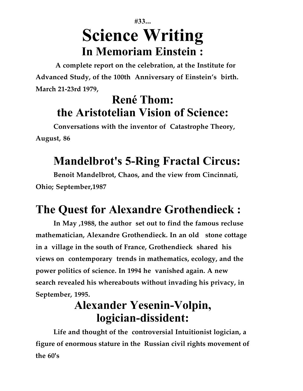# **#33... Science Writing In Memoriam Einstein :**

**A complete report on the celebration, at the Institute for Advanced Study, of the 100th Anniversary of Einstein's birth. March 21-23rd 1979,**

# **René Thom: the Aristotelian Vision of Science:**

**Conversations with the inventor of Catastrophe Theory, August, 86**

# **Mandelbrot's 5-Ring Fractal Circus:**

**Benoit Mandelbrot, Chaos, and the view from Cincinnati, Ohio; September,1987**

# **The Quest for Alexandre Grothendieck :**

**In May ,1988, the author set out to find the famous recluse mathematician, Alexandre Grothendieck. In an old stone cottage in a village in the south of France, Grothendieck shared his views on contemporary trends in mathematics, ecology, and the power politics of science. In 1994 he vanished again. A new search revealed his whereabouts without invading his privacy, in September, 1995.**

# **Alexander Yesenin-Volpin, logician-dissident:**

**Life and thought of the controversial Intuitionist logician, a figure of enormous stature in the Russian civil rights movement of the 60's**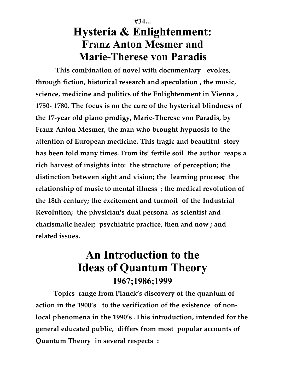#### **#34... Hysteria & Enlightenment: Franz Anton Mesmer and Marie-Therese von Paradis**

**This combination of novel with documentary evokes, through fiction, historical research and speculation , the music, science, medicine and politics of the Enlightenment in Vienna , 1750- 1780. The focus is on the cure of the hysterical blindness of the 17-year old piano prodigy, Marie-Therese von Paradis, by Franz Anton Mesmer, the man who brought hypnosis to the attention of European medicine. This tragic and beautiful story has been told many times. From its' fertile soil the author reaps a rich harvest of insights into: the structure of perception; the distinction between sight and vision; the learning process; the relationship of music to mental illness ; the medical revolution of the 18th century; the excitement and turmoil of the Industrial Revolution; the physician's dual persona as scientist and charismatic healer; psychiatric practice, then and now ; and related issues.**

#### **An Introduction to the Ideas of Quantum Theory 1967;1986;1999**

**Topics range from Planck's discovery of the quantum of action in the 1900's to the verification of the existence of nonlocal phenomena in the 1990's .This introduction, intended for the general educated public, differs from most popular accounts of Quantum Theory in several respects :**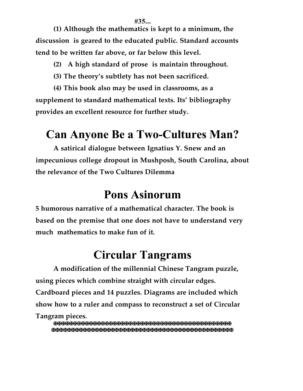**(1) Although the mathematics is kept to a minimum, the discussion is geared to the educated public. Standard accounts tend to be written far above, or far below this level.**

**(2) A high standard of prose is maintain throughout.**

**(3) The theory's subtlety has not been sacrificed.**

**(4) This book also may be used in classrooms, as a supplement to standard mathematical texts. Its' bibliography provides an excellent resource for further study.**

# **Can Anyone Be a Two-Cultures Man?**

**A satirical dialogue between Ignatius Y. Snew and an impecunious college dropout in Mushposh, South Carolina, about the relevance of the Two Cultures Dilemma**

## **Pons Asinorum**

**5 humorous narrative of a mathematical character. The book is based on the premise that one does not have to understand very much mathematics to make fun of it.**

# **Circular Tangrams**

**A modification of the millennial Chinese Tangram puzzle, using pieces which combine straight with circular edges. Cardboard pieces and 14 puzzles. Diagrams are included which show how to a ruler and compass to reconstruct a set of Circular Tangram pieces.**

✠✠✠✠✠✠✠✠✠✠✠✠✠✠✠✠✠✠✠✠✠✠✠✠✠✠✠✠✠✠✠✠✠✠✠✠✠✠✠✠✠✠✠✠✠ ✠✠✠✠✠✠✠✠✠✠✠✠✠✠✠✠✠✠✠✠✠✠✠✠✠✠✠✠✠✠✠✠✠✠✠✠✠✠✠✠✠✠✠✠✠✠